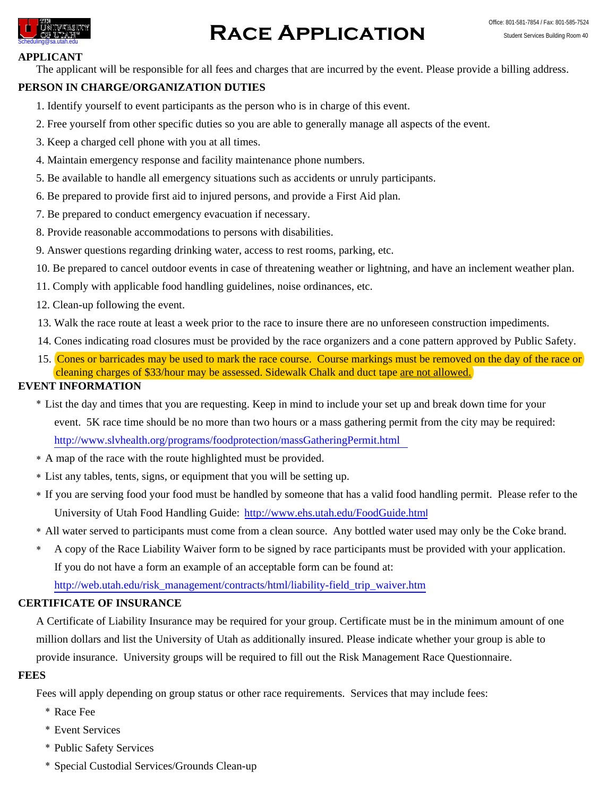

# **CONSTRESSINY RACE APPLICATION** Student Services Building Room 40<br>Scheduling@sa.utah.edu Student Services Building Room 40

#### **APPLICANT**

The applicant will be responsible for all fees and charges that are incurred by the event. Please provide a billing address.

### **PERSON IN CHARGE/ORGANIZATION DUTIES**

- 1. Identify yourself to event participants as the person who is in charge of this event.
- 2. Free yourself from other specific duties so you are able to generally manage all aspects of the event.
- 3. Keep a charged cell phone with you at all times.
- 4. Maintain emergency response and facility maintenance phone numbers.
- 5. Be available to handle all emergency situations such as accidents or unruly participants.
- 6. Be prepared to provide first aid to injured persons, and provide a First Aid plan.
- 7. Be prepared to conduct emergency evacuation if necessary.
- 8. Provide reasonable accommodations to persons with disabilities.
- 9. Answer questions regarding drinking water, access to rest rooms, parking, etc.
- 10. Be prepared to cancel outdoor events in case of threatening weather or lightning, and have an inclement weather plan.
- 11. Comply with applicable food handling guidelines, noise ordinances, etc.
- 12. Clean-up following the event.
- 13. Walk the race route at least a week prior to the race to insure there are no unforeseen construction impediments.
- 14. Cones indicating road closures must be provided by the race organizers and a cone pattern approved by Public Safety.
- 15. Cones or barricades may be used to mark the race course. Course markings must be removed on the day of the race or cleaning charges of \$33/hour may be assessed. Sidewalk Chalk and duct tape are not allowed.

#### **EVENT INFORMATION**

- List the day and times that you are requesting. Keep in mind to include your set up and break down time for your http://www.slvhealth.org/programs/foodprotection/massGatheringPermit.html event. 5K race time should be no more than two hours or a mass gathering permit from the city may be required:
- A map of the race with the route highlighted must be provided.
- List any tables, tents, signs, or equipment that you will be setting up.
- If you are serving food your food must be handled by someone that has a valid food handling permit. Please refer to the University of Utah Food Handling Guide: http://www.ehs.utah.edu/FoodGuide.html
- All water served to participants must come from a clean source. Any bottled water used may only be the Coke brand.
- $\ast$ A copy of the Race Liability Waiver form to be signed by race participants must be provided with your application. If you do not have a form an example of an acceptable form can be found at:

http://web.utah.edu/risk\_management/contracts/html/liability-field\_trip\_waiver.htm

## **CERTIFICATE OF INSURANCE**

A Certificate of Liability Insurance may be required for your group. Certificate must be in the minimum amount of one million dollars and list the University of Utah as additionally insured. Please indicate whether your group is able to provide insurance. University groups will be required to fill out the Risk Management Race Questionnaire.

#### **FEES**

Fees will apply depending on group status or other race requirements. Services that may include fees:

- Race Fee
- Event Services
- Public Safety Services
- Special Custodial Services/Grounds Clean-up